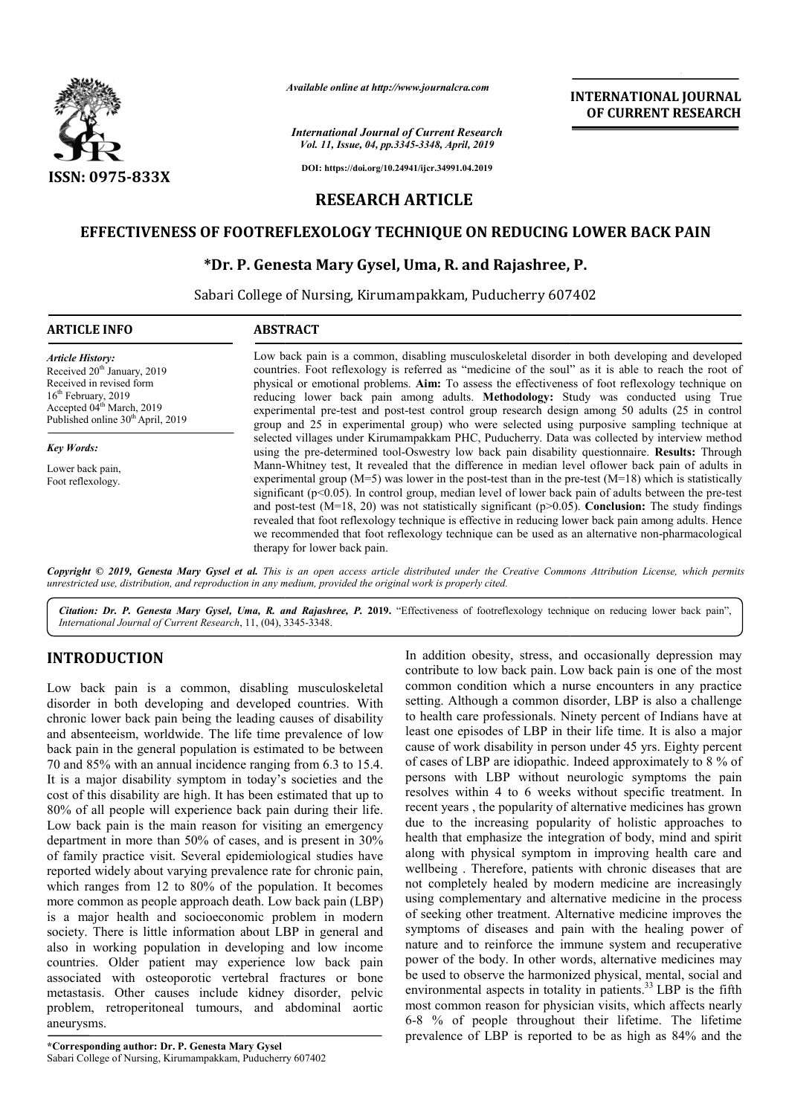

*Available online at http://www.journalcra.com*

*International Journal of Current Research Vol. 11, Issue, 04, pp.3345-3348, April, 2019*

**DOI: https://doi.org/10.24941/ijcr.34991.04.2019**

# **RESEARCH ARTICLE**

# **EFFECTIVENESS OF FOOTREFLEXOLOGY TECHNIQUE ON REDUCING LOWER BACK PAIN EFFECTIVENESS OF FOOTREFLEXOLOGY TECHNIQUE ON P. Genesta Gysel,**

## **\*Dr. P. Genesta Mary Gysel, Uma, R. and Rajashree, P. Dr.**

Sabari College of Nursing, Kirumampakkam, Puducherry 607402

| <b>ARTICLE INFO</b>                                                                                                                                                                                                         | <b>ABSTRACT</b>                                                                                                                                                                                                                                                                                                                                                                                                                                                                                                                                                                                                                                                                            |  |  |  |  |  |  |
|-----------------------------------------------------------------------------------------------------------------------------------------------------------------------------------------------------------------------------|--------------------------------------------------------------------------------------------------------------------------------------------------------------------------------------------------------------------------------------------------------------------------------------------------------------------------------------------------------------------------------------------------------------------------------------------------------------------------------------------------------------------------------------------------------------------------------------------------------------------------------------------------------------------------------------------|--|--|--|--|--|--|
| <b>Article History:</b><br>Received 20 <sup>th</sup> January, 2019<br>Received in revised form<br>16 <sup>th</sup> February, 2019<br>Accepted 04 <sup>th</sup> March, 2019<br>Published online 30 <sup>th</sup> April, 2019 | Low back pain is a common, disabling musculoskeletal disorder in both developing and developed<br>countries. Foot reflexology is referred as "medicine of the soul" as it is able to reach the root of<br>physical or emotional problems. Aim: To assess the effectiveness of foot reflexology technique on<br>reducing lower back pain among adults. Methodology: Study was conducted using True<br>experimental pre-test and post-test control group research design among 50 adults (25 in control<br>group and 25 in experimental group) who were selected using purposive sampling technique at                                                                                       |  |  |  |  |  |  |
| <b>Key Words:</b>                                                                                                                                                                                                           | selected villages under Kirumampakkam PHC, Puducherry. Data was collected by interview method<br>using the pre-determined tool-Oswestry low back pain disability questionnaire. Results: Through                                                                                                                                                                                                                                                                                                                                                                                                                                                                                           |  |  |  |  |  |  |
| Lower back pain,<br>Foot reflexology.                                                                                                                                                                                       | Mann-Whitney test, It revealed that the difference in median level of lower back pain of adults in<br>experimental group ( $M=5$ ) was lower in the post-test than in the pre-test ( $M=18$ ) which is statistically<br>significant ( $p<0.05$ ). In control group, median level of lower back pain of adults between the pre-test<br>and post-test (M=18, 20) was not statistically significant ( $p>0.05$ ). Conclusion: The study findings<br>revealed that foot reflexology technique is effective in reducing lower back pain among adults. Hence<br>we recommended that foot reflexology technique can be used as an alternative non-pharmacological<br>therapy for lower back pain. |  |  |  |  |  |  |

Copyright © 2019, Genesta Mary Gysel et al. This is an open access article distributed under the Creative Commons Attribution License, which permits *unrestricted use, distribution, and reproduction in any medium, provided the original work is properly cited.*

Citation: Dr. P. Genesta Mary Gysel, Uma, R. and Rajashree, P. 2019. "Effectiveness of footreflexology technique on reducing lower back pain", *International Journal of Current Research*, 11, (04), 3345 3345-3348.

# **INTRODUCTION**

Low back pain is a common, disabling musculoskeletal disorder in both developing and developed countries. With chronic lower back pain being the leading causes of disability and absenteeism, worldwide. The life time prevalence of low back pain in the general population is estimated to be between 70 and 85% with an annual incidence ranging from 6.3 to 15.4. It is a major disability symptom in today's societies and the cost of this disability are high. It has been estimated that up to 80% of all people will experience back pain during their life. Low back pain is the main reason for visiting an emergency department in more than 50% of cases, and is present in 30% of family practice visit. Several epidemiological studies have reported widely about varying prevalence rate for chronic pain, which ranges from 12 to 80% of the population. It becomes more common as people approach death. Low back pain (LBP) is a major health and socioeconomic problem in modern society. There is little information about LBP in general and also in working population in developing and low income countries. Older patient may experience low back pain associated with osteoporotic vertebral fractures or bone metastasis. Other causes include kidney disorder, pelvic problem, retroperitoneal tumours, and abdominal aortic aneurysms. al population is estinual incidence rang<br>y symptom in toda;<br>are high. It has been<br>l experience back p<br>main reason for vi<br>an 50% of cases, a<br>it. Several epidemic<br>varying prevalence

In addition obesity, stress, and occasionally depression may<br>
omn, disabling musculoskeletal common condition which a nurse chounters in some of the most<br>
cand developed countries. With setting. Although a common disorder, In addition obesity, stress, and occasionally depression may contribute to low back pain. Low back pain is one of the most common condition which a nurse encounters in any practice setting. Although a common disorder, LBP is also a challenge to health care professionals. Ninety percent of Indians have at least one episodes of LBP in their life time. It is al cause of work disability in person under 45 yrs. Eighty percent of cases of LBP are idiopathic. Indeed approximately to 8 % of persons with LBP without neurologic symptoms the pain resolves within 4 to 6 weeks without specific treatment. In recent years , the popularity of alternative medicines has grown due to the increasing popularity of holistic approaches to health that emphasize the integration of body, mind and spirit along with physical symptom in improving health care and wellbeing . Therefore, patients with chronic diseases that are not completely healed by modern medicine are increasingly using complementary and alternative medicine in the process of seeking other treatment. Alternative medicine improves the symptoms of diseases and pain with the healing power of nature and to reinforce the immune system and recuperative power of the body. In other words, alternative medicines may be used to observe the harmonized physical, mental, social and nature and to reinforce the immune system and recuperative<br>power of the body. In other words, alternative medicines may<br>be used to observe the harmonized physical, mental, social and<br>environmental aspects in totality in pa most common reason for physician visits, which affects nearly 6-8 % of people throughout their lifetime. The lifetime prevalence of LBP is reported to be as high as 84% and the common condition which a nurse encounters in any practice<br>setting. Although a common disorder, LBP is also a challenge<br>to health care professionals. Ninety percent of Indians have at<br>least one episodes of LBP in their life cases of LBP are idiopathic. Indeed approximately to 8 % of rsons with LBP without neurologic symptoms the pain solves within 4 to 6 weeks without specific treatment. In cent years, the popularity of alternative medicines **EXEREM FROM SOMETAIN CONNECT CONFIDENT (CONFIDENT (CONFIDENT (CONFIDENT) And the action of FCURRENT RESEARCH (CONFIRENT RESEARCH CONFIRENT RESEARCH (GOVER BACK PAIN (GUER ON REDUCING LOWER BACK PAIN (GUER DITICLE RIPORT)**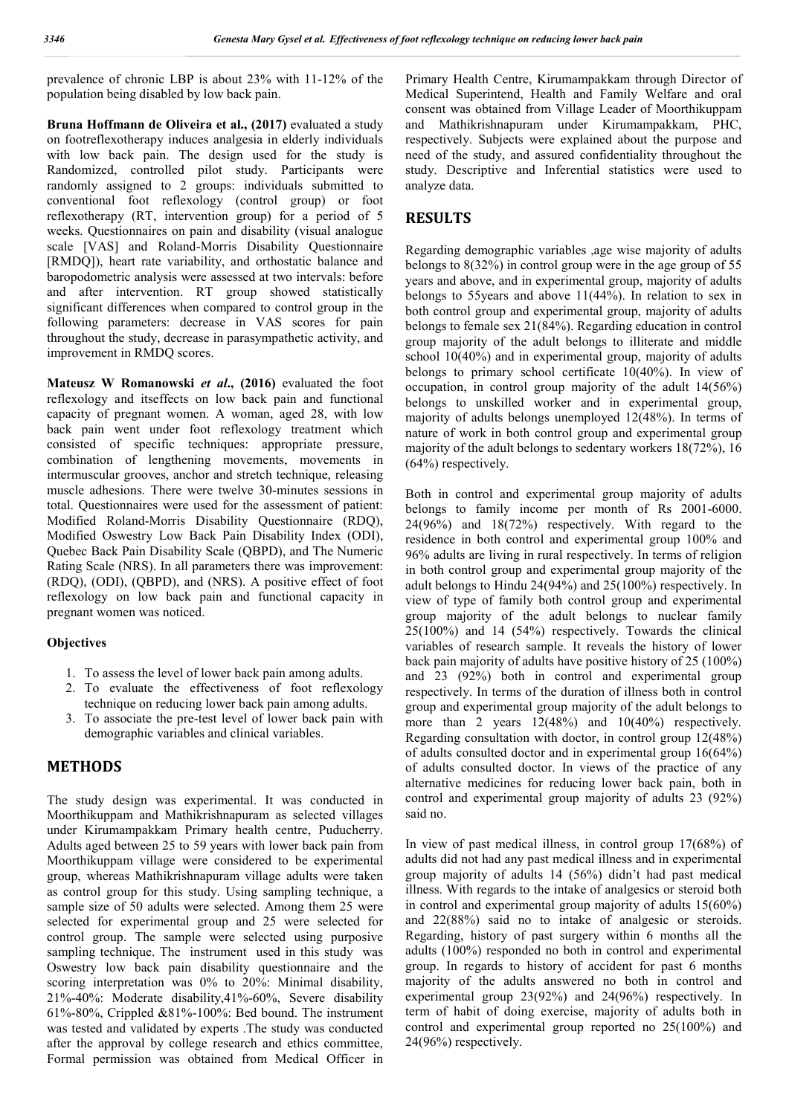prevalence of chronic LBP is about 23% with 11-12% of the population being disabled by low back pain.

**Bruna Hoffmann de Oliveira et al., (2017)** evaluated a study on footreflexotherapy induces analgesia in elderly individuals with low back pain. The design used for the study is Randomized, controlled pilot study. Participants were randomly assigned to 2 groups: individuals submitted to conventional foot reflexology (control group) or foot reflexotherapy (RT, intervention group) for a period of 5 weeks. Questionnaires on pain and disability (visual analogue scale [VAS] and Roland-Morris Disability Questionnaire [RMDQ]), heart rate variability, and orthostatic balance and baropodometric analysis were assessed at two intervals: before and after intervention. RT group showed statistically significant differences when compared to control group in the following parameters: decrease in VAS scores for pain throughout the study, decrease in parasympathetic activity, and improvement in RMDQ scores.

**Mateusz W Romanowski** *et al***., (2016)** evaluated the foot reflexology and itseffects on low back pain and functional capacity of pregnant women. A woman, aged 28, with low back pain went under foot reflexology treatment which consisted of specific techniques: appropriate pressure, combination of lengthening movements, movements in intermuscular grooves, anchor and stretch technique, releasing muscle adhesions. There were twelve 30-minutes sessions in total. Questionnaires were used for the assessment of patient: Modified Roland-Morris Disability Questionnaire (RDQ), Modified Oswestry Low Back Pain Disability Index (ODI), Quebec Back Pain Disability Scale (QBPD), and The Numeric Rating Scale (NRS). In all parameters there was improvement: (RDQ), (ODI), (QBPD), and (NRS). A positive effect of foot reflexology on low back pain and functional capacity in pregnant women was noticed.

## **Objectives**

- 1. To assess the level of lower back pain among adults.
- 2. To evaluate the effectiveness of foot reflexology technique on reducing lower back pain among adults.
- 3. To associate the pre-test level of lower back pain with demographic variables and clinical variables.

### **METHODS**

The study design was experimental. It was conducted in Moorthikuppam and Mathikrishnapuram as selected villages under Kirumampakkam Primary health centre, Puducherry. Adults aged between 25 to 59 years with lower back pain from Moorthikuppam village were considered to be experimental group, whereas Mathikrishnapuram village adults were taken as control group for this study. Using sampling technique, a sample size of 50 adults were selected. Among them 25 were selected for experimental group and 25 were selected for control group. The sample were selected using purposive sampling technique. The instrument used in this study was Oswestry low back pain disability questionnaire and the scoring interpretation was 0% to 20%: Minimal disability, 21%-40%: Moderate disability,41%-60%, Severe disability 61%-80%, Crippled &81%-100%: Bed bound. The instrument was tested and validated by experts .The study was conducted after the approval by college research and ethics committee, Formal permission was obtained from Medical Officer in

Primary Health Centre, Kirumampakkam through Director of Medical Superintend, Health and Family Welfare and oral consent was obtained from Village Leader of Moorthikuppam and Mathikrishnapuram under Kirumampakkam, PHC, respectively. Subjects were explained about the purpose and need of the study, and assured confidentiality throughout the study. Descriptive and Inferential statistics were used to analyze data.

## **RESULTS**

Regarding demographic variables ,age wise majority of adults belongs to 8(32%) in control group were in the age group of 55 years and above, and in experimental group, majority of adults belongs to 55years and above 11(44%). In relation to sex in both control group and experimental group, majority of adults belongs to female sex 21(84%). Regarding education in control group majority of the adult belongs to illiterate and middle school 10(40%) and in experimental group, majority of adults belongs to primary school certificate 10(40%). In view of occupation, in control group majority of the adult 14(56%) belongs to unskilled worker and in experimental group, majority of adults belongs unemployed 12(48%). In terms of nature of work in both control group and experimental group majority of the adult belongs to sedentary workers 18(72%), 16 (64%) respectively.

Both in control and experimental group majority of adults belongs to family income per month of Rs 2001-6000. 24(96%) and 18(72%) respectively. With regard to the residence in both control and experimental group 100% and 96% adults are living in rural respectively. In terms of religion in both control group and experimental group majority of the adult belongs to Hindu 24(94%) and 25(100%) respectively. In view of type of family both control group and experimental group majority of the adult belongs to nuclear family 25(100%) and 14 (54%) respectively. Towards the clinical variables of research sample. It reveals the history of lower back pain majority of adults have positive history of 25 (100%) and 23 (92%) both in control and experimental group respectively. In terms of the duration of illness both in control group and experimental group majority of the adult belongs to more than 2 years 12(48%) and 10(40%) respectively. Regarding consultation with doctor, in control group 12(48%) of adults consulted doctor and in experimental group 16(64%) of adults consulted doctor. In views of the practice of any alternative medicines for reducing lower back pain, both in control and experimental group majority of adults 23 (92%) said no.

In view of past medical illness, in control group 17(68%) of adults did not had any past medical illness and in experimental group majority of adults 14 (56%) didn't had past medical illness. With regards to the intake of analgesics or steroid both in control and experimental group majority of adults 15(60%) and 22(88%) said no to intake of analgesic or steroids. Regarding, history of past surgery within 6 months all the adults (100%) responded no both in control and experimental group. In regards to history of accident for past 6 months majority of the adults answered no both in control and experimental group 23(92%) and 24(96%) respectively. In term of habit of doing exercise, majority of adults both in control and experimental group reported no 25(100%) and 24(96%) respectively.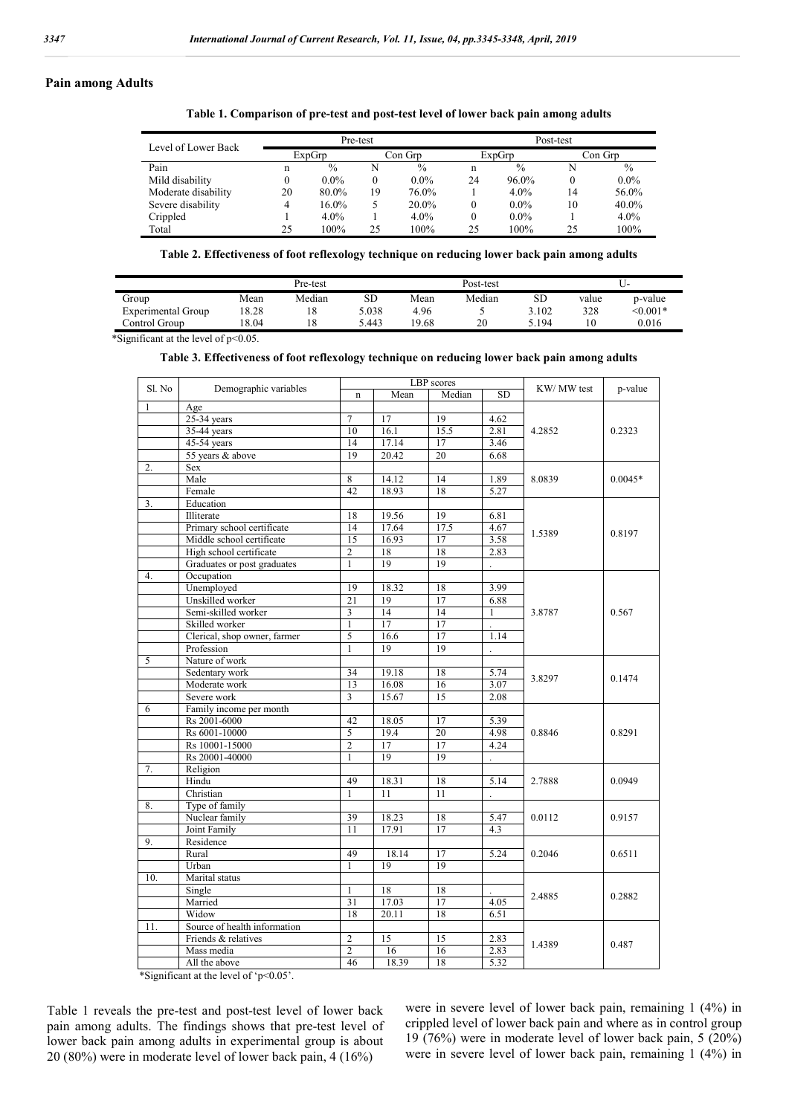#### **Pain among Adults**

**Table 1. Comparison of pre-test and post-test level of lower back pain among adults**

| Level of Lower Back | Pre-test |               |          |               | Post-test |               |         |               |  |
|---------------------|----------|---------------|----------|---------------|-----------|---------------|---------|---------------|--|
|                     | ExpGrp   |               | Con Grp  |               | ExpGrp    |               | Con Grp |               |  |
| Pain                | n        | $\frac{0}{0}$ | N        | $\frac{0}{0}$ | n         | $\frac{0}{0}$ | N       | $\frac{0}{0}$ |  |
| Mild disability     |          | $0.0\%$       | $\theta$ | $0.0\%$       | 24        | 96.0%         |         | $0.0\%$       |  |
| Moderate disability | 20       | 80.0%         | 19       | 76.0%         |           | $4.0\%$       | 14      | 56.0%         |  |
| Severe disability   |          | 16.0%         |          | 20.0%         | $\theta$  | $0.0\%$       | 10      | 40.0%         |  |
| Crippled            |          | 4.0%          |          | $4.0\%$       | $\theta$  | $0.0\%$       |         | $4.0\%$       |  |
| Total               | 25       | 100%          | 25       | 100%          | 25        | 100%          | 25      | 100%          |  |

**Table 2. Effectiveness of foot reflexology technique on reducing lower back pain among adults**

|                    |       | Pre-test |       |       | Post-test |       |       | U-         |  |
|--------------------|-------|----------|-------|-------|-----------|-------|-------|------------|--|
| Group              | Mean  | Median   | SD    | Mean  | Median    | SD    | value | p-value    |  |
| Experimental Group | 18.28 | 18       | 5.038 | 4.96  |           | 3.102 | 328   | $< 0.001*$ |  |
| Control Group      | 18.04 | 18       | 5.443 | 19.68 | 20        | 5.194 | 10    | 0.016      |  |

\*Significant at the level of p<0.05.

#### **Table 3. Effectiveness of foot reflexology technique on reducing lower back pain among adults**

| Sl. No | Demographic variables        |                 |       | LBP scores      | KW/ MW test          | p-value |           |
|--------|------------------------------|-----------------|-------|-----------------|----------------------|---------|-----------|
|        |                              | $\mathbf n$     | Mean  | Median          | SD                   |         |           |
| 1      | Age                          |                 |       |                 |                      |         |           |
|        | $25-34$ years                | $\tau$          | 17    | 19              | 4.62                 |         | 0.2323    |
|        | 35-44 years                  | 10              | 16.1  | 15.5            | 2.81                 | 4.2852  |           |
|        | $45-54$ years                | 14              | 17.14 | 17              | 3.46                 |         |           |
|        | 55 years & above             | 19              | 20.42 | 20              | 6.68                 |         |           |
| 2.     | Sex                          |                 |       |                 |                      |         |           |
|        | Male                         | 8               | 14.12 | 14              | 1.89                 | 8.0839  | $0.0045*$ |
|        | Female                       | 42              | 18.93 | 18              | 5.27                 |         |           |
| 3.     | Education                    |                 |       |                 |                      |         |           |
|        | Illiterate                   | 18              | 19.56 | 19              | 6.81                 |         |           |
|        | Primary school certificate   | 14              | 17.64 | 17.5            | 4.67                 |         |           |
|        | Middle school certificate    | $\overline{15}$ | 16.93 | 17              | 3.58                 | 1.5389  | 0.8197    |
|        | High school certificate      | $\overline{c}$  | 18    | 18              | 2.83                 |         |           |
|        | Graduates or post graduates  | $\mathbf{1}$    | 19    | 19              |                      |         |           |
| 4.     | Occupation                   |                 |       |                 |                      |         |           |
|        | Unemployed                   | 19              | 18.32 | 18              | 3.99                 |         |           |
|        | Unskilled worker             | 21              | 19    | 17              | 6.88                 |         |           |
|        | Semi-skilled worker          | 3               | 14    | $\overline{14}$ | $\mathbf{1}$         | 3.8787  | 0.567     |
|        | Skilled worker               | $\mathbf{1}$    | 17    | 17              |                      |         |           |
|        | Clerical, shop owner, farmer | 5               | 16.6  | 17              | 1.14                 |         |           |
|        | Profession                   | $\mathbf{1}$    | 19    | 19              |                      |         |           |
| 5      | Nature of work               |                 |       |                 |                      |         |           |
|        | Sedentary work               | 34              | 19.18 | 18              | 5.74                 | 3.8297  | 0.1474    |
|        | Moderate work                | 13              | 16.08 | 16              | 3.07                 |         |           |
|        | Severe work                  | 3               | 15.67 | 15              | 2.08                 |         |           |
| 6      | Family income per month      |                 |       |                 |                      |         |           |
|        | Rs 2001-6000                 | 42              | 18.05 | 17              | 5.39                 |         | 0.8291    |
|        | Rs 6001-10000                | 5               | 19.4  | 20              | 4.98                 | 0.8846  |           |
|        | Rs 10001-15000               | $\overline{2}$  | 17    | 17              | 4.24                 |         |           |
|        | Rs 20001-40000               | $\mathbf{1}$    | 19    | 19              | $\ddot{\phantom{a}}$ |         |           |
| 7.     | Religion                     |                 |       |                 |                      |         |           |
|        | Hindu                        | 49              | 18.31 | 18              | 5.14                 | 2.7888  | 0.0949    |
|        | Christian                    | $\mathbf{1}$    | 11    | 11              |                      |         |           |
| 8.     | Type of family               |                 |       |                 |                      |         |           |
|        | Nuclear family               | 39              | 18.23 | 18              | 5.47                 | 0.0112  | 0.9157    |
|        | Joint Family                 | 11              | 17.91 | 17              | 4.3                  |         |           |
| 9.     | Residence                    |                 |       |                 |                      |         |           |
|        | Rural                        | 49              | 18.14 | 17              | 5.24                 | 0.2046  | 0.6511    |
|        | Urban                        | $\mathbf{1}$    | 19    | 19              |                      |         |           |
| 10.    | Marital status               |                 |       |                 |                      |         |           |
|        | Single                       | $\mathbf{1}$    | 18    | 18              |                      |         | 0.2882    |
|        | Married                      | $\overline{31}$ | 17.03 | 17              | 4.05                 | 2.4885  |           |
|        | Widow                        | 18              | 20.11 | 18              | 6.51                 |         |           |
| 11.    | Source of health information |                 |       |                 |                      |         |           |
|        | Friends & relatives          | 2               | 15    | 15              | 2.83                 |         | 0.487     |
|        | Mass media                   | $\overline{2}$  | 16    | 16              | 2.83                 | 1.4389  |           |
|        | All the above                | 46              | 18.39 | 18              | 5.32                 |         |           |
|        |                              |                 |       |                 |                      |         |           |

\*Significant at the level of 'p<0.05'.

Table 1 reveals the pre-test and post-test level of lower back pain among adults. The findings shows that pre-test level of lower back pain among adults in experimental group is about 20 (80%) were in moderate level of lower back pain, 4 (16%)

were in severe level of lower back pain, remaining 1 (4%) in crippled level of lower back pain and where as in control group 19 (76%) were in moderate level of lower back pain, 5 (20%) were in severe level of lower back pain, remaining 1 (4%) in